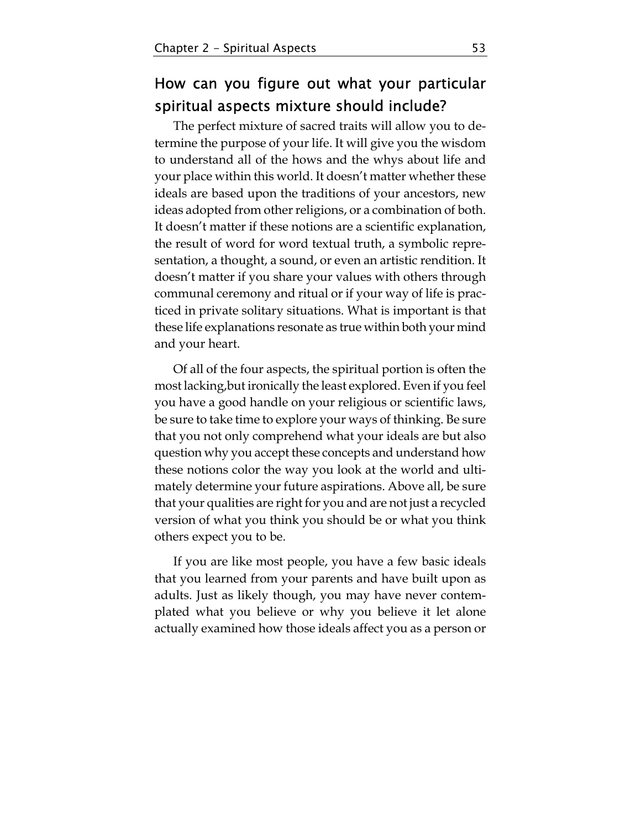## How can you figure out what your particular spiritual aspects mixture should include?

The perfect mixture of sacred traits will allow you to determine the purpose of your life. It will give you the wisdom to understand all of the hows and the whys about life and your place within this world. It doesn't matter whether these ideals are based upon the traditions of your ancestors, new ideas adopted from other religions, or a combination of both. It doesn't matter if these notions are a scientific explanation, the result of word for word textual truth, a symbolic representation, a thought, a sound, or even an artistic rendition. It doesn't matter if you share your values with others through communal ceremony and ritual or if your way of life is practiced in private solitary situations. What is important is that these life explanations resonate as true within both your mind and your heart.

Of all of the four aspects, the spiritual portion is often the most lacking,but ironically the least explored. Even if you feel you have a good handle on your religious or scientific laws, be sure to take time to explore your ways of thinking. Be sure that you not only comprehend what your ideals are but also question why you accept these concepts and understand how these notions color the way you look at the world and ultimately determine your future aspirations. Above all, be sure that your qualities are right for you and are not just a recycled version of what you think you should be or what you think others expect you to be.

If you are like most people, you have a few basic ideals that you learned from your parents and have built upon as adults. Just as likely though, you may have never contemplated what you believe or why you believe it let alone actually examined how those ideals affect you as a person or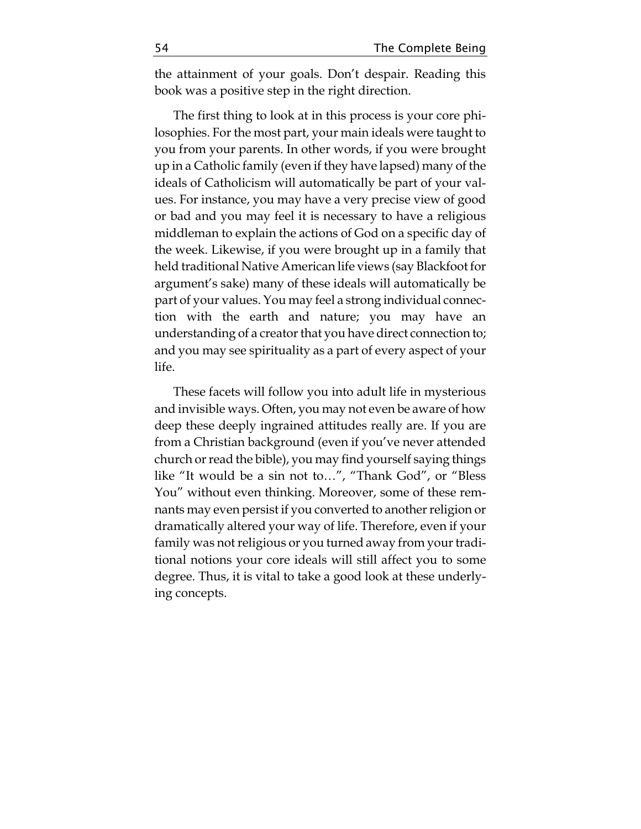the attainment of your goals. Don't despair. Reading this book was a positive step in the right direction.

The first thing to look at in this process is your core philosophies. For the most part, your main ideals were taught to you from your parents. In other words, if you were brought up in a Catholic family (even if they have lapsed) many of the ideals of Catholicism will automatically be part of your values. For instance, you may have a very precise view of good or bad and you may feel it is necessary to have a religious middleman to explain the actions of God on a specific day of the week. Likewise, if you were brought up in a family that held traditional Native American life views (say Blackfoot for argument's sake) many of these ideals will automatically be part of your values. You may feel a strong individual connection with the earth and nature; you may have an understanding of a creator that you have direct connection to; and you may see spirituality as a part of every aspect of your life.

These facets will follow you into adult life in mysterious and invisible ways. Often, you may not even be aware of how deep these deeply ingrained attitudes really are. If you are from a Christian background (even if you've never attended church or read the bible), you may find yourself saying things like "It would be a sin not to…", "Thank God", or "Bless You" without even thinking. Moreover, some of these remnants may even persist if you converted to another religion or dramatically altered your way of life. Therefore, even if your family was not religious or you turned away from your traditional notions your core ideals will still affect you to some degree. Thus, it is vital to take a good look at these underlying concepts.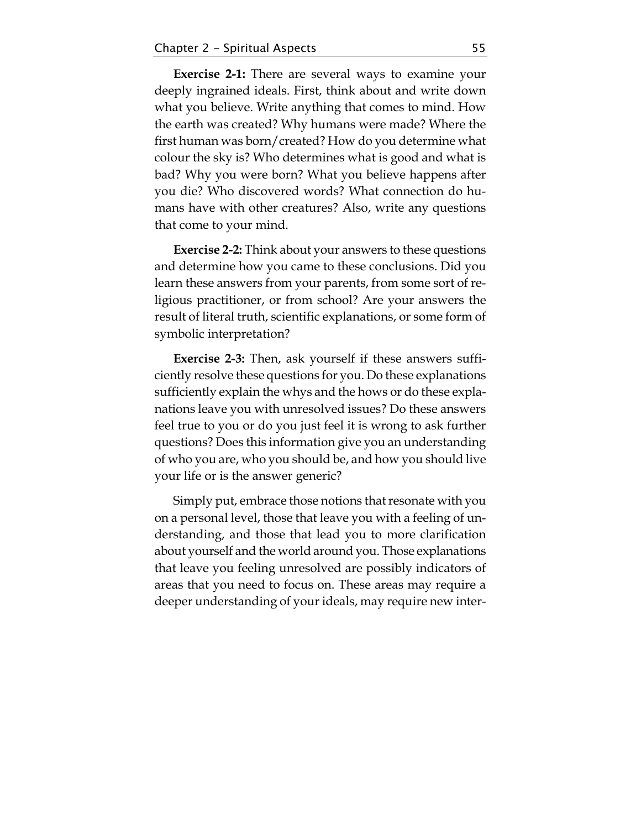**Exercise 2-1:** There are several ways to examine your deeply ingrained ideals. First, think about and write down what you believe. Write anything that comes to mind. How the earth was created? Why humans were made? Where the first human was born/created? How do you determine what colour the sky is? Who determines what is good and what is bad? Why you were born? What you believe happens after you die? Who discovered words? What connection do humans have with other creatures? Also, write any questions that come to your mind.

**Exercise 2-2:** Think about your answers to these questions and determine how you came to these conclusions. Did you learn these answers from your parents, from some sort of religious practitioner, or from school? Are your answers the result of literal truth, scientific explanations, or some form of symbolic interpretation?

**Exercise 2-3:** Then, ask yourself if these answers sufficiently resolve these questions for you. Do these explanations sufficiently explain the whys and the hows or do these explanations leave you with unresolved issues? Do these answers feel true to you or do you just feel it is wrong to ask further questions? Does this information give you an understanding of who you are, who you should be, and how you should live your life or is the answer generic?

Simply put, embrace those notions that resonate with you on a personal level, those that leave you with a feeling of understanding, and those that lead you to more clarification about yourself and the world around you. Those explanations that leave you feeling unresolved are possibly indicators of areas that you need to focus on. These areas may require a deeper understanding of your ideals, may require new inter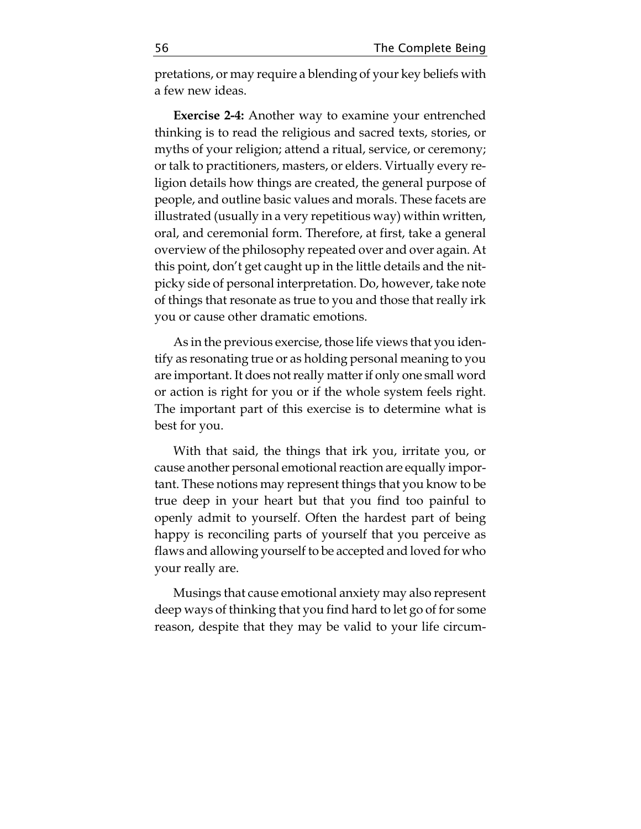pretations, or may require a blending of your key beliefs with a few new ideas.

**Exercise 2-4:** Another way to examine your entrenched thinking is to read the religious and sacred texts, stories, or myths of your religion; attend a ritual, service, or ceremony; or talk to practitioners, masters, or elders. Virtually every religion details how things are created, the general purpose of people, and outline basic values and morals. These facets are illustrated (usually in a very repetitious way) within written, oral, and ceremonial form. Therefore, at first, take a general overview of the philosophy repeated over and over again. At this point, don't get caught up in the little details and the nitpicky side of personal interpretation. Do, however, take note of things that resonate as true to you and those that really irk you or cause other dramatic emotions.

As in the previous exercise, those life views that you identify as resonating true or as holding personal meaning to you are important. It does not really matter if only one small word or action is right for you or if the whole system feels right. The important part of this exercise is to determine what is best for you.

With that said, the things that irk you, irritate you, or cause another personal emotional reaction are equally important. These notions may represent things that you know to be true deep in your heart but that you find too painful to openly admit to yourself. Often the hardest part of being happy is reconciling parts of yourself that you perceive as flaws and allowing yourself to be accepted and loved for who your really are.

Musings that cause emotional anxiety may also represent deep ways of thinking that you find hard to let go of for some reason, despite that they may be valid to your life circum-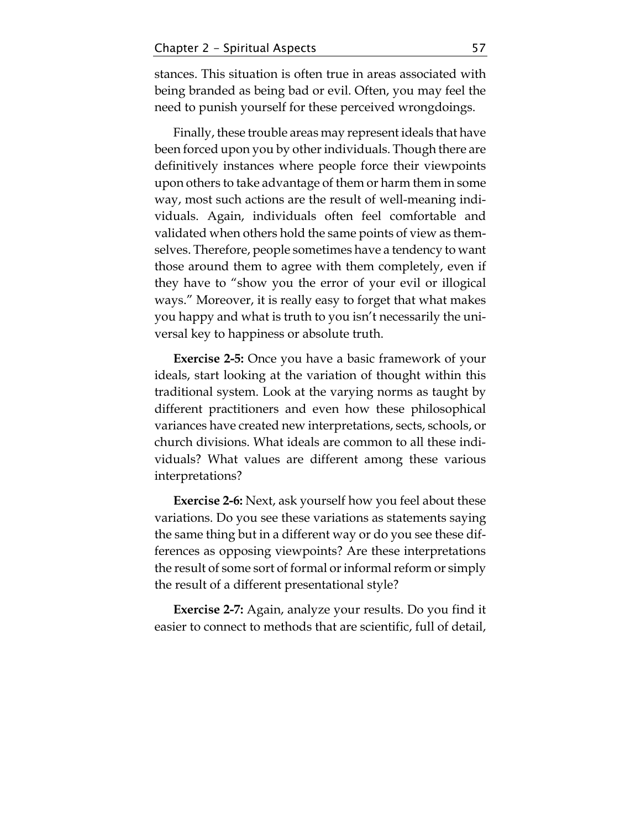stances. This situation is often true in areas associated with being branded as being bad or evil. Often, you may feel the need to punish yourself for these perceived wrongdoings.

Finally, these trouble areas may represent ideals that have been forced upon you by other individuals. Though there are definitively instances where people force their viewpoints upon others to take advantage of them or harm them in some way, most such actions are the result of well-meaning individuals. Again, individuals often feel comfortable and validated when others hold the same points of view as themselves. Therefore, people sometimes have a tendency to want those around them to agree with them completely, even if they have to "show you the error of your evil or illogical ways." Moreover, it is really easy to forget that what makes you happy and what is truth to you isn't necessarily the universal key to happiness or absolute truth.

**Exercise 2-5:** Once you have a basic framework of your ideals, start looking at the variation of thought within this traditional system. Look at the varying norms as taught by different practitioners and even how these philosophical variances have created new interpretations, sects, schools, or church divisions. What ideals are common to all these individuals? What values are different among these various interpretations?

**Exercise 2-6:** Next, ask yourself how you feel about these variations. Do you see these variations as statements saying the same thing but in a different way or do you see these differences as opposing viewpoints? Are these interpretations the result of some sort of formal or informal reform or simply the result of a different presentational style?

**Exercise 2-7:** Again, analyze your results. Do you find it easier to connect to methods that are scientific, full of detail,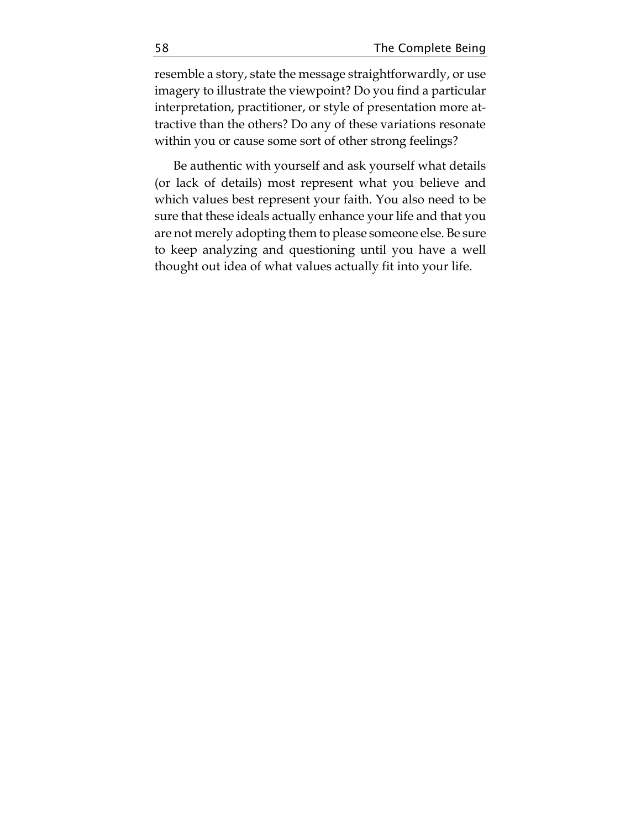resemble a story, state the message straightforwardly, or use imagery to illustrate the viewpoint? Do you find a particular interpretation, practitioner, or style of presentation more attractive than the others? Do any of these variations resonate within you or cause some sort of other strong feelings?

Be authentic with yourself and ask yourself what details (or lack of details) most represent what you believe and which values best represent your faith. You also need to be sure that these ideals actually enhance your life and that you are not merely adopting them to please someone else. Be sure to keep analyzing and questioning until you have a well thought out idea of what values actually fit into your life.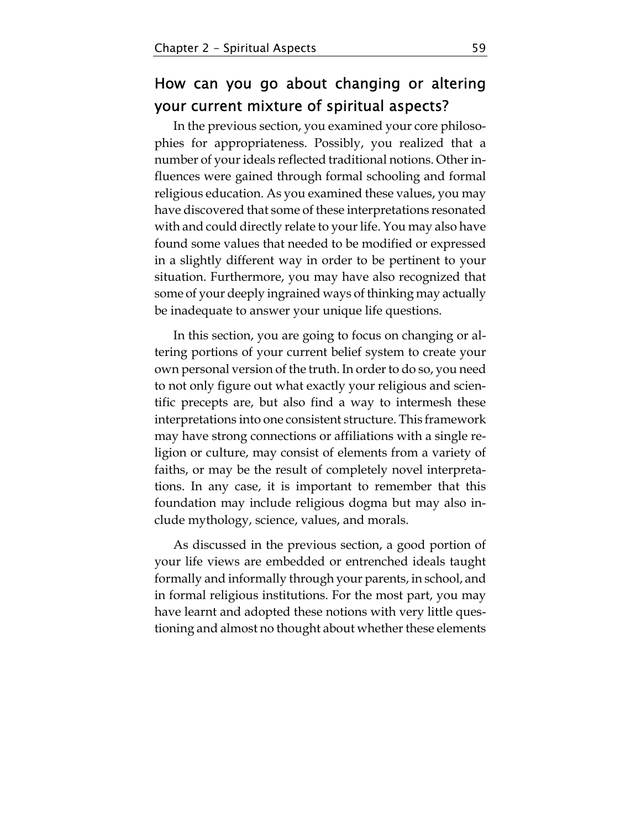## How can you go about changing or altering your current mixture of spiritual aspects?

In the previous section, you examined your core philosophies for appropriateness. Possibly, you realized that a number of your ideals reflected traditional notions. Other influences were gained through formal schooling and formal religious education. As you examined these values, you may have discovered that some of these interpretations resonated with and could directly relate to your life. You may also have found some values that needed to be modified or expressed in a slightly different way in order to be pertinent to your situation. Furthermore, you may have also recognized that some of your deeply ingrained ways of thinking may actually be inadequate to answer your unique life questions.

In this section, you are going to focus on changing or altering portions of your current belief system to create your own personal version of the truth. In order to do so, you need to not only figure out what exactly your religious and scientific precepts are, but also find a way to intermesh these interpretations into one consistent structure. This framework may have strong connections or affiliations with a single religion or culture, may consist of elements from a variety of faiths, or may be the result of completely novel interpretations. In any case, it is important to remember that this foundation may include religious dogma but may also include mythology, science, values, and morals.

As discussed in the previous section, a good portion of your life views are embedded or entrenched ideals taught formally and informally through your parents, in school, and in formal religious institutions. For the most part, you may have learnt and adopted these notions with very little questioning and almost no thought about whether these elements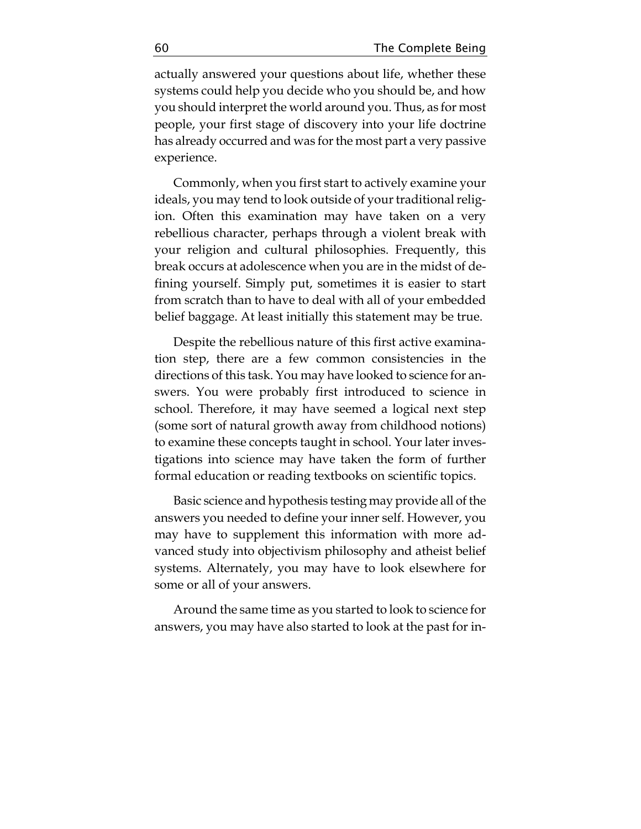actually answered your questions about life, whether these systems could help you decide who you should be, and how you should interpret the world around you. Thus, as for most people, your first stage of discovery into your life doctrine has already occurred and was for the most part a very passive experience.

Commonly, when you first start to actively examine your ideals, you may tend to look outside of your traditional religion. Often this examination may have taken on a very rebellious character, perhaps through a violent break with your religion and cultural philosophies. Frequently, this break occurs at adolescence when you are in the midst of defining yourself. Simply put, sometimes it is easier to start from scratch than to have to deal with all of your embedded belief baggage. At least initially this statement may be true.

Despite the rebellious nature of this first active examination step, there are a few common consistencies in the directions of this task. You may have looked to science for answers. You were probably first introduced to science in school. Therefore, it may have seemed a logical next step (some sort of natural growth away from childhood notions) to examine these concepts taught in school. Your later investigations into science may have taken the form of further formal education or reading textbooks on scientific topics.

Basic science and hypothesis testing may provide all of the answers you needed to define your inner self. However, you may have to supplement this information with more advanced study into objectivism philosophy and atheist belief systems. Alternately, you may have to look elsewhere for some or all of your answers.

Around the same time as you started to look to science for answers, you may have also started to look at the past for in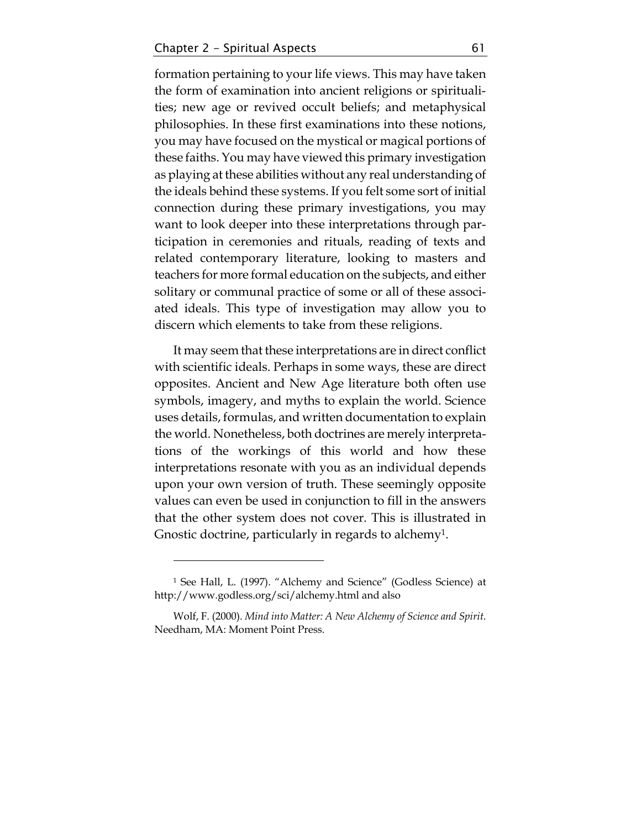formation pertaining to your life views. This may have taken the form of examination into ancient religions or spiritualities; new age or revived occult beliefs; and metaphysical philosophies. In these first examinations into these notions, you may have focused on the mystical or magical portions of these faiths. You may have viewed this primary investigation as playing at these abilities without any real understanding of the ideals behind these systems. If you felt some sort of initial connection during these primary investigations, you may want to look deeper into these interpretations through participation in ceremonies and rituals, reading of texts and related contemporary literature, looking to masters and teachers for more formal education on the subjects, and either solitary or communal practice of some or all of these associated ideals. This type of investigation may allow you to discern which elements to take from these religions.

It may seem that these interpretations are in direct conflict with scientific ideals. Perhaps in some ways, these are direct opposites. Ancient and New Age literature both often use symbols, imagery, and myths to explain the world. Science uses details, formulas, and written documentation to explain the world. Nonetheless, both doctrines are merely interpretations of the workings of this world and how these interpretations resonate with you as an individual depends upon your own version of truth. These seemingly opposite values can even be used in conjunction to fill in the answers that the other system does not cover. This is illustrated in Gnostic doctrine, particularly in regards to alchemy1.

<u>.</u>

<sup>1</sup> See Hall, L. (1997). "Alchemy and Science" (Godless Science) at http://www.godless.org/sci/alchemy.html and also

Wolf, F. (2000). *Mind into Matter: A New Alchemy of Science and Spirit*. Needham, MA: Moment Point Press.